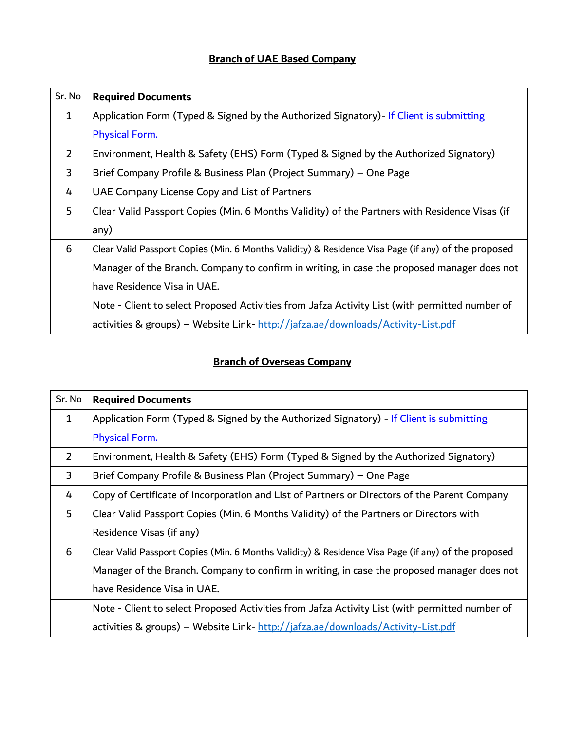## **Branch of UAE Based Company**

| Sr. No       | <b>Required Documents</b>                                                                           |
|--------------|-----------------------------------------------------------------------------------------------------|
| $\mathbf{1}$ | Application Form (Typed & Signed by the Authorized Signatory) - If Client is submitting             |
|              | <b>Physical Form.</b>                                                                               |
| 2            | Environment, Health & Safety (EHS) Form (Typed & Signed by the Authorized Signatory)                |
| 3            | Brief Company Profile & Business Plan (Project Summary) - One Page                                  |
| 4            | UAE Company License Copy and List of Partners                                                       |
| 5            | Clear Valid Passport Copies (Min. 6 Months Validity) of the Partners with Residence Visas (if       |
|              | any)                                                                                                |
| 6            | Clear Valid Passport Copies (Min. 6 Months Validity) & Residence Visa Page (if any) of the proposed |
|              | Manager of the Branch. Company to confirm in writing, in case the proposed manager does not         |
|              | have Residence Visa in UAE.                                                                         |
|              | Note - Client to select Proposed Activities from Jafza Activity List (with permitted number of      |
|              | activities & groups) - Website Link- http://jafza.ae/downloads/Activity-List.pdf                    |

## **Branch of Overseas Company**

| Sr. No         | <b>Required Documents</b>                                                                           |
|----------------|-----------------------------------------------------------------------------------------------------|
| 1              | Application Form (Typed & Signed by the Authorized Signatory) - If Client is submitting             |
|                | Physical Form.                                                                                      |
| $\overline{2}$ | Environment, Health & Safety (EHS) Form (Typed & Signed by the Authorized Signatory)                |
| 3              | Brief Company Profile & Business Plan (Project Summary) – One Page                                  |
| 4              | Copy of Certificate of Incorporation and List of Partners or Directors of the Parent Company        |
| 5              | Clear Valid Passport Copies (Min. 6 Months Validity) of the Partners or Directors with              |
|                | Residence Visas (if any)                                                                            |
| 6              | Clear Valid Passport Copies (Min. 6 Months Validity) & Residence Visa Page (if any) of the proposed |
|                | Manager of the Branch. Company to confirm in writing, in case the proposed manager does not         |
|                | have Residence Visa in UAE.                                                                         |
|                | Note - Client to select Proposed Activities from Jafza Activity List (with permitted number of      |
|                | activities & groups) - Website Link- http://jafza.ae/downloads/Activity-List.pdf                    |